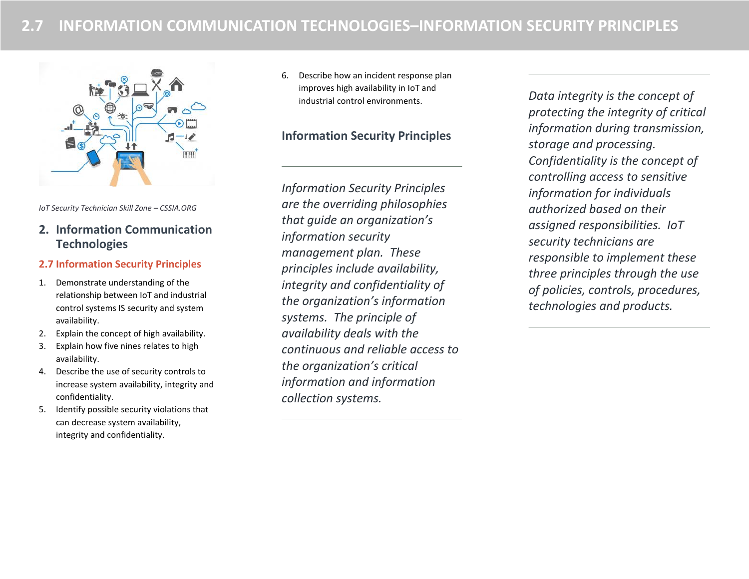

*IoT Security Technician Skill Zone – CSSIA.ORG*

# **2. Information Communication Technologies**

## **2.7 Information Security Principles**

- 1. Demonstrate understanding of the relationship between IoT and industrial control systems IS security and system availability.
- 2. Explain the concept of high availability.
- 3. Explain how five nines relates to high availability.
- 4. Describe the use of security controls to increase system availability, integrity and confidentiality.
- 5. Identify possible security violations that can decrease system availability, integrity and confidentiality.

6. Describe how an incident response plan improves high availability in IoT and industrial control environments.

# **Information Security Principles**

*Information Security Principles are the overriding philosophies that guide an organization's information security management plan. These principles include availability, integrity and confidentiality of the organization's information systems. The principle of availability deals with the continuous and reliable access to the organization's critical information and information collection systems.* 

*Data integrity is the concept of protecting the integrity of critical information during transmission, storage and processing. Confidentiality is the concept of controlling access to sensitive information for individuals authorized based on their assigned responsibilities. IoT security technicians are responsible to implement these three principles through the use of policies, controls, procedures, technologies and products.*